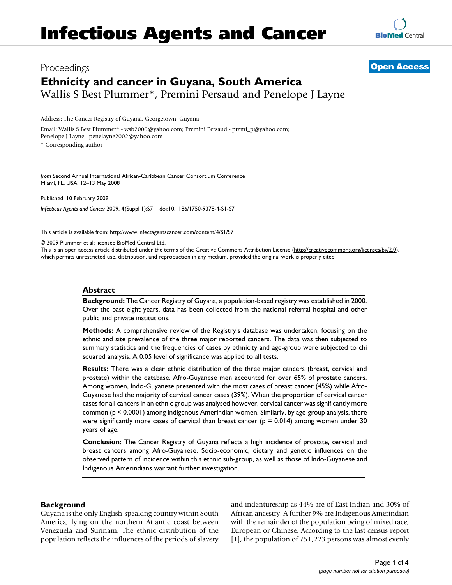# Proceedings **[Open Access](http://www.biomedcentral.com/info/about/charter/) Ethnicity and cancer in Guyana, South America** Wallis S Best Plummer\*, Premini Persaud and Penelope J Layne

Address: The Cancer Registry of Guyana, Georgetown, Guyana

Email: Wallis S Best Plummer\* - wsb2000@yahoo.com; Premini Persaud - premi\_p@yahoo.com; Penelope J Layne - penelayne2002@yahoo.com

\* Corresponding author

*from* Second Annual International African-Caribbean Cancer Consortium Conference Miami, FL, USA. 12–13 May 2008

Published: 10 February 2009

*Infectious Agents and Cancer* 2009, **4**(Suppl 1):S7 doi:10.1186/1750-9378-4-S1-S7

[This article is available from: http://www.infectagentscancer.com/content/4/S1/S7](http://www.infectagentscancer.com/content/4/S1/S7)

© 2009 Plummer et al; licensee BioMed Central Ltd.

This is an open access article distributed under the terms of the Creative Commons Attribution License [\(http://creativecommons.org/licenses/by/2.0\)](http://creativecommons.org/licenses/by/2.0), which permits unrestricted use, distribution, and reproduction in any medium, provided the original work is properly cited.

# **Abstract**

**Background:** The Cancer Registry of Guyana, a population-based registry was established in 2000. Over the past eight years, data has been collected from the national referral hospital and other public and private institutions.

**Methods:** A comprehensive review of the Registry's database was undertaken, focusing on the ethnic and site prevalence of the three major reported cancers. The data was then subjected to summary statistics and the frequencies of cases by ethnicity and age-group were subjected to chi squared analysis. A 0.05 level of significance was applied to all tests.

**Results:** There was a clear ethnic distribution of the three major cancers (breast, cervical and prostate) within the database. Afro-Guyanese men accounted for over 65% of prostate cancers. Among women, Indo-Guyanese presented with the most cases of breast cancer (45%) while Afro-Guyanese had the majority of cervical cancer cases (39%). When the proportion of cervical cancer cases for all cancers in an ethnic group was analysed however, cervical cancer was significantly more common (p < 0.0001) among Indigenous Amerindian women. Similarly, by age-group analysis, there were significantly more cases of cervical than breast cancer ( $p = 0.014$ ) among women under 30 years of age.

**Conclusion:** The Cancer Registry of Guyana reflects a high incidence of prostate, cervical and breast cancers among Afro-Guyanese. Socio-economic, dietary and genetic influences on the observed pattern of incidence within this ethnic sub-group, as well as those of Indo-Guyanese and Indigenous Amerindians warrant further investigation.

# **Background**

Guyana is the only English-speaking country within South America, lying on the northern Atlantic coast between Venezuela and Surinam. The ethnic distribution of the population reflects the influences of the periods of slavery and indentureship as 44% are of East Indian and 30% of African ancestry. A further 9% are Indigenous Amerindian with the remainder of the population being of mixed race, European or Chinese. According to the last census report [1], the population of 751,223 persons was almost evenly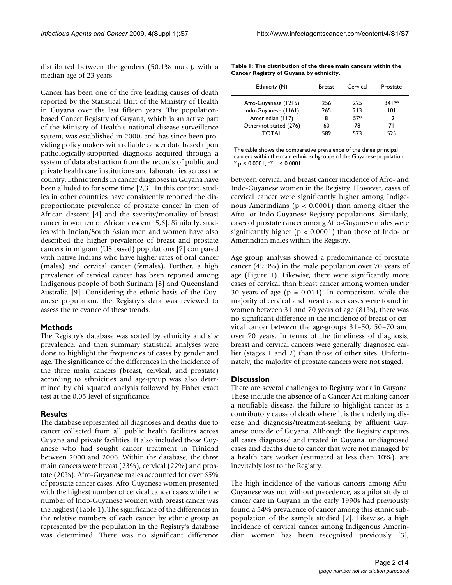distributed between the genders (50.1% male), with a median age of 23 years.

Cancer has been one of the five leading causes of death reported by the Statistical Unit of the Ministry of Health in Guyana over the last fifteen years. The populationbased Cancer Registry of Guyana, which is an active part of the Ministry of Health's national disease surveillance system, was established in 2000, and has since been providing policy makers with reliable cancer data based upon pathologically-supported diagnosis acquired through a system of data abstraction from the records of public and private health care institutions and laboratories across the country. Ethnic trends in cancer diagnoses in Guyana have been alluded to for some time [2,3]. In this context, studies in other countries have consistently reported the disproportionate prevalence of prostate cancer in men of African descent [4] and the severity/mortality of breast cancer in women of African descent [5,6]. Similarly, studies with Indian/South Asian men and women have also described the higher prevalence of breast and prostate cancers in migrant (US based) populations [7] compared with native Indians who have higher rates of oral cancer (males) and cervical cancer (females), Further, a high prevalence of cervical cancer has been reported among Indigenous people of both Surinam [8] and Queensland Australia [9]. Considering the ethnic basis of the Guyanese population, the Registry's data was reviewed to assess the relevance of these trends.

## **Methods**

The Registry's database was sorted by ethnicity and site prevalence, and then summary statistical analyses were done to highlight the frequencies of cases by gender and age. The significance of the differences in the incidence of the three main cancers (breast, cervical, and prostate) according to ethnicities and age-group was also determined by chi squared analysis followed by Fisher exact test at the 0.05 level of significance.

## **Results**

The database represented all diagnoses and deaths due to cancer collected from all public health facilities across Guyana and private facilities. It also included those Guyanese who had sought cancer treatment in Trinidad between 2000 and 2006. Within the database, the three main cancers were breast (23%), cervical (22%) and prostate (20%). Afro-Guyanese males accounted for over 65% of prostate cancer cases. Afro-Guyanese women presented with the highest number of cervical cancer cases while the number of Indo-Guyanese women with breast cancer was the highest (Table 1). The significance of the differences in the relative numbers of each cancer by ethnic group as represented by the population in the Registry's database was determined. There was no significant difference

**Table 1: The distribution of the three main cancers within the Cancer Registry of Guyana by ethnicity.**

| Ethnicity (N)          | <b>Breast</b> | Cervical | Prostate |
|------------------------|---------------|----------|----------|
| Afro-Guyanese (1215)   | 256           | 225      | 341**    |
| Indo-Guyanese (1161)   | 265           | 213      | 101      |
| Amerindian (117)       | 8             | $57*$    | 12       |
| Other/not stated (276) | 60            | 78       | 71       |
| TOTAL                  | 589           | 573      | 525      |
|                        |               |          |          |

The table shows the comparative prevalence of the three principal cancers within the main ethnic subgroups of the Guyanese population.  $*$  p < 0.0001,  $**$  p < 0.0001.

between cervical and breast cancer incidence of Afro- and Indo-Guyanese women in the Registry. However, cases of cervical cancer were significantly higher among Indigenous Amerindians ( $p < 0.0001$ ) than among either the Afro- or Indo-Guyanese Registry populations. Similarly, cases of prostate cancer among Afro-Guyanese males were significantly higher ( $p < 0.0001$ ) than those of Indo- or Amerindian males within the Registry.

Age group analysis showed a predominance of prostate cancer (49.9%) in the male population over 70 years of age (Figure 1). Likewise, there were significantly more cases of cervical than breast cancer among women under 30 years of age ( $p = 0.014$ ). In comparison, while the majority of cervical and breast cancer cases were found in women between 31 and 70 years of age (81%), there was no significant difference in the incidence of breast or cervical cancer between the age-groups 31–50, 50–70 and over 70 years. In terms of the timeliness of diagnosis, breast and cervical cancers were generally diagnosed earlier (stages 1 and 2) than those of other sites. Unfortunately, the majority of prostate cancers were not staged.

## **Discussion**

There are several challenges to Registry work in Guyana. These include the absence of a Cancer Act making cancer a notifiable disease, the failure to highlight cancer as a contributory cause of death where it is the underlying disease and diagnosis/treatment-seeking by affluent Guyanese outside of Guyana. Although the Registry captures all cases diagnosed and treated in Guyana, undiagnosed cases and deaths due to cancer that were not managed by a health care worker (estimated at less than 10%), are inevitably lost to the Registry.

The high incidence of the various cancers among Afro-Guyanese was not without precedence, as a pilot study of cancer care in Guyana in the early 1990s had previously found a 54% prevalence of cancer among this ethnic subpopulation of the sample studied [2]. Likewise, a high incidence of cervical cancer among Indigenous Amerindian women has been recognised previously [3],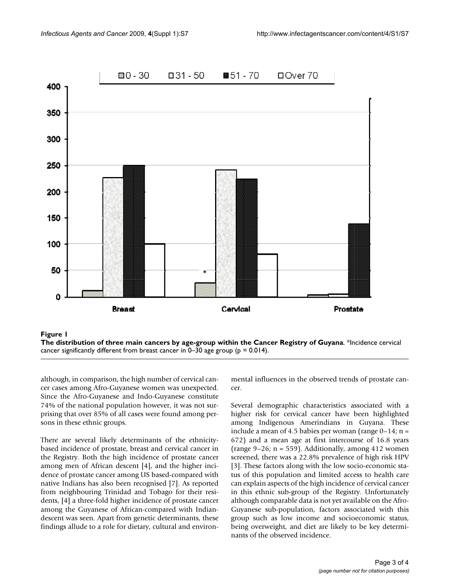

The distribution of three main cancers by age- **Figure 1** group within the Cancer Registry of Guyana



although, in comparison, the high number of cervical cancer cases among Afro-Guyanese women was unexpected. Since the Afro-Guyanese and Indo-Guyanese constitute 74% of the national population however, it was not surprising that over 85% of all cases were found among persons in these ethnic groups.

There are several likely determinants of the ethnicitybased incidence of prostate, breast and cervical cancer in the Registry. Both the high incidence of prostate cancer among men of African descent [4], and the higher incidence of prostate cancer among US based-compared with native Indians has also been recognised [7]. As reported from neighbouring Trinidad and Tobago for their residents, [4] a three-fold higher incidence of prostate cancer among the Guyanese of African-compared with Indiandescent was seen. Apart from genetic determinants, these findings allude to a role for dietary, cultural and environmental influences in the observed trends of prostate cancer.

Several demographic characteristics associated with a higher risk for cervical cancer have been highlighted among Indigenous Amerindians in Guyana. These include a mean of 4.5 babies per woman (range  $0-14$ ; n = 672) and a mean age at first intercourse of 16.8 years (range  $9-26$ ; n = 559). Additionally, among 412 women screened, there was a 22.8% prevalence of high risk HPV [3]. These factors along with the low socio-economic status of this population and limited access to health care can explain aspects of the high incidence of cervical cancer in this ethnic sub-group of the Registry. Unfortunately although comparable data is not yet available on the Afro-Guyanese sub-population, factors associated with this group such as low income and socioeconomic status, being overweight, and diet are likely to be key determinants of the observed incidence.